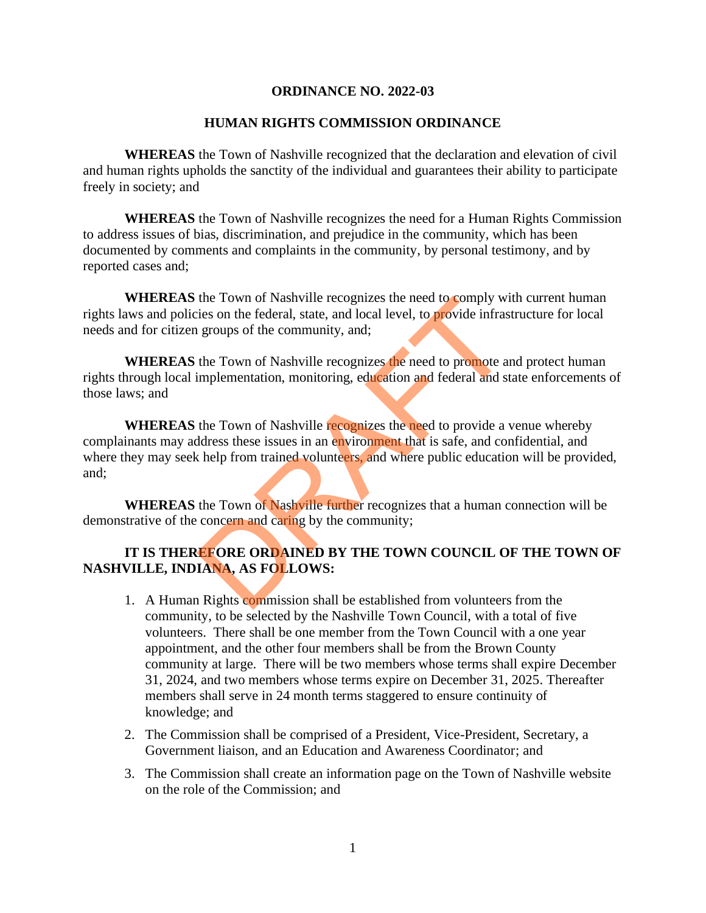#### **ORDINANCE NO. 2022-03**

#### **HUMAN RIGHTS COMMISSION ORDINANCE**

**WHEREAS** the Town of Nashville recognized that the declaration and elevation of civil and human rights upholds the sanctity of the individual and guarantees their ability to participate freely in society; and

**WHEREAS** the Town of Nashville recognizes the need for a Human Rights Commission to address issues of bias, discrimination, and prejudice in the community, which has been documented by comments and complaints in the community, by personal testimony, and by reported cases and;

**WHEREAS** the Town of Nashville recognizes the need to comply with current human rights laws and policies on the federal, state, and local level, to provide infrastructure for local needs and for citizen groups of the community, and;

**WHEREAS** the Town of Nashville recognizes the need to promote and protect human rights through local implementation, monitoring, education and federal and state enforcements of those laws; and

**WHEREAS** the Town of Nashville recognizes the need to provide a venue whereby complainants may address these issues in an environment that is safe, and confidential, and where they may seek help from trained volunteers, and where public education will be provided, and; the Town of Nashville recognizes the need to comply writes on the federal, state, and local level, to **provide** infrase groups of the community, and;<br>the Town of Nashville recognizes the need to promote an implementation,

**WHEREAS** the Town of Nashville further recognizes that a human connection will be demonstrative of the concern and caring by the community;

# **IT IS THEREFORE ORDAINED BY THE TOWN COUNCIL OF THE TOWN OF NASHVILLE, INDIANA, AS FOLLOWS:**

- 1. A Human Rights commission shall be established from volunteers from the community, to be selected by the Nashville Town Council, with a total of five volunteers. There shall be one member from the Town Council with a one year appointment, and the other four members shall be from the Brown County community at large. There will be two members whose terms shall expire December 31, 2024, and two members whose terms expire on December 31, 2025. Thereafter members shall serve in 24 month terms staggered to ensure continuity of knowledge; and
- 2. The Commission shall be comprised of a President, Vice-President, Secretary, a Government liaison, and an Education and Awareness Coordinator; and
- 3. The Commission shall create an information page on the Town of Nashville website on the role of the Commission; and